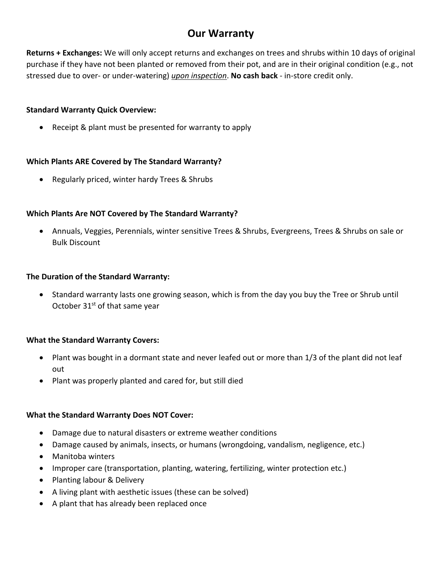# **Our Warranty**

**Returns + Exchanges:** We will only accept returns and exchanges on trees and shrubs within 10 days of original purchase if they have not been planted or removed from their pot, and are in their original condition (e.g., not stressed due to over- or under-watering) *upon inspection*. **No cash back** - in-store credit only.

### **Standard Warranty Quick Overview:**

• Receipt & plant must be presented for warranty to apply

### **Which Plants ARE Covered by The Standard Warranty?**

• Regularly priced, winter hardy Trees & Shrubs

## **Which Plants Are NOT Covered by The Standard Warranty?**

• Annuals, Veggies, Perennials, winter sensitive Trees & Shrubs, Evergreens, Trees & Shrubs on sale or Bulk Discount

### **The Duration of the Standard Warranty:**

• Standard warranty lasts one growing season, which is from the day you buy the Tree or Shrub until October 31<sup>st</sup> of that same year

## **What the Standard Warranty Covers:**

- Plant was bought in a dormant state and never leafed out or more than 1/3 of the plant did not leaf out
- Plant was properly planted and cared for, but still died

#### **What the Standard Warranty Does NOT Cover:**

- Damage due to natural disasters or extreme weather conditions
- Damage caused by animals, insects, or humans (wrongdoing, vandalism, negligence, etc.)
- Manitoba winters
- Improper care (transportation, planting, watering, fertilizing, winter protection etc.)
- Planting labour & Delivery
- A living plant with aesthetic issues (these can be solved)
- A plant that has already been replaced once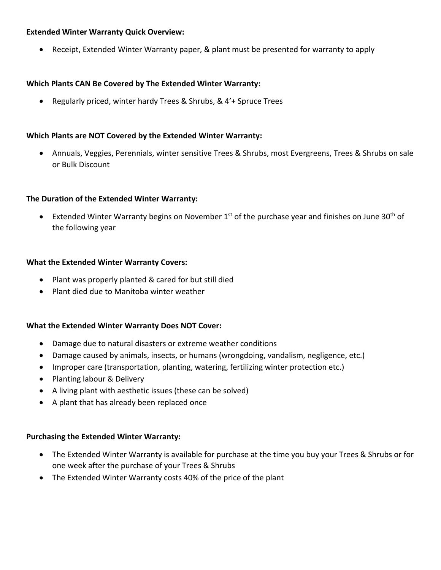### **Extended Winter Warranty Quick Overview:**

• Receipt, Extended Winter Warranty paper, & plant must be presented for warranty to apply

#### **Which Plants CAN Be Covered by The Extended Winter Warranty:**

• Regularly priced, winter hardy Trees & Shrubs, & 4'+ Spruce Trees

### **Which Plants are NOT Covered by the Extended Winter Warranty:**

• Annuals, Veggies, Perennials, winter sensitive Trees & Shrubs, most Evergreens, Trees & Shrubs on sale or Bulk Discount

#### **The Duration of the Extended Winter Warranty:**

• Extended Winter Warranty begins on November  $1^{st}$  of the purchase year and finishes on June 30<sup>th</sup> of the following year

#### **What the Extended Winter Warranty Covers:**

- Plant was properly planted & cared for but still died
- Plant died due to Manitoba winter weather

#### **What the Extended Winter Warranty Does NOT Cover:**

- Damage due to natural disasters or extreme weather conditions
- Damage caused by animals, insects, or humans (wrongdoing, vandalism, negligence, etc.)
- Improper care (transportation, planting, watering, fertilizing winter protection etc.)
- Planting labour & Delivery
- A living plant with aesthetic issues (these can be solved)
- A plant that has already been replaced once

#### **Purchasing the Extended Winter Warranty:**

- The Extended Winter Warranty is available for purchase at the time you buy your Trees & Shrubs or for one week after the purchase of your Trees & Shrubs
- The Extended Winter Warranty costs 40% of the price of the plant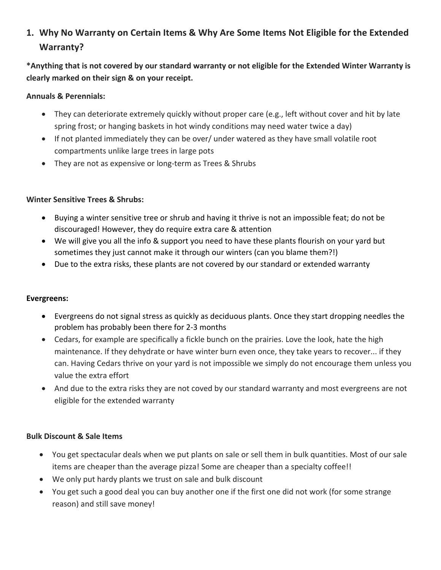# **1. Why No Warranty on Certain Items & Why Are Some Items Not Eligible for the Extended Warranty?**

**\*Anything that is not covered by our standard warranty or not eligible for the Extended Winter Warranty is clearly marked on their sign & on your receipt.**

## **Annuals & Perennials:**

- They can deteriorate extremely quickly without proper care (e.g., left without cover and hit by late spring frost; or hanging baskets in hot windy conditions may need water twice a day)
- If not planted immediately they can be over/ under watered as they have small volatile root compartments unlike large trees in large pots
- They are not as expensive or long-term as Trees & Shrubs

# **Winter Sensitive Trees & Shrubs:**

- Buying a winter sensitive tree or shrub and having it thrive is not an impossible feat; do not be discouraged! However, they do require extra care & attention
- We will give you all the info & support you need to have these plants flourish on your yard but sometimes they just cannot make it through our winters (can you blame them?!)
- Due to the extra risks, these plants are not covered by our standard or extended warranty

## **Evergreens:**

- Evergreens do not signal stress as quickly as deciduous plants. Once they start dropping needles the problem has probably been there for 2-3 months
- Cedars, for example are specifically a fickle bunch on the prairies. Love the look, hate the high maintenance. If they dehydrate or have winter burn even once, they take years to recover... if they can. Having Cedars thrive on your yard is not impossible we simply do not encourage them unless you value the extra effort
- And due to the extra risks they are not coved by our standard warranty and most evergreens are not eligible for the extended warranty

## **Bulk Discount & Sale Items**

- You get spectacular deals when we put plants on sale or sell them in bulk quantities. Most of our sale items are cheaper than the average pizza! Some are cheaper than a specialty coffee!!
- We only put hardy plants we trust on sale and bulk discount
- You get such a good deal you can buy another one if the first one did not work (for some strange reason) and still save money!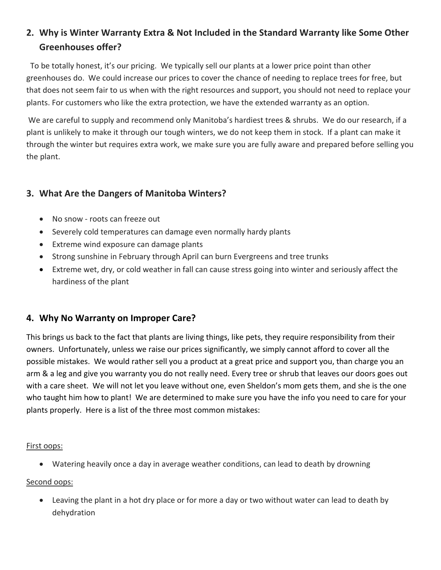# **2. Why is Winter Warranty Extra & Not Included in the Standard Warranty like Some Other Greenhouses offer?**

 To be totally honest, it's our pricing. We typically sell our plants at a lower price point than other greenhouses do. We could increase our prices to cover the chance of needing to replace trees for free, but that does not seem fair to us when with the right resources and support, you should not need to replace your plants. For customers who like the extra protection, we have the extended warranty as an option.

We are careful to supply and recommend only Manitoba's hardiest trees & shrubs. We do our research, if a plant is unlikely to make it through our tough winters, we do not keep them in stock. If a plant can make it through the winter but requires extra work, we make sure you are fully aware and prepared before selling you the plant.

# **3. What Are the Dangers of Manitoba Winters?**

- No snow roots can freeze out
- Severely cold temperatures can damage even normally hardy plants
- Extreme wind exposure can damage plants
- Strong sunshine in February through April can burn Evergreens and tree trunks
- Extreme wet, dry, or cold weather in fall can cause stress going into winter and seriously affect the hardiness of the plant

# **4. Why No Warranty on Improper Care?**

This brings us back to the fact that plants are living things, like pets, they require responsibility from their owners. Unfortunately, unless we raise our prices significantly, we simply cannot afford to cover all the possible mistakes. We would rather sell you a product at a great price and support you, than charge you an arm & a leg and give you warranty you do not really need. Every tree or shrub that leaves our doors goes out with a care sheet. We will not let you leave without one, even Sheldon's mom gets them, and she is the one who taught him how to plant! We are determined to make sure you have the info you need to care for your plants properly. Here is a list of the three most common mistakes:

## First oops:

• Watering heavily once a day in average weather conditions, can lead to death by drowning

# Second oops:

• Leaving the plant in a hot dry place or for more a day or two without water can lead to death by dehydration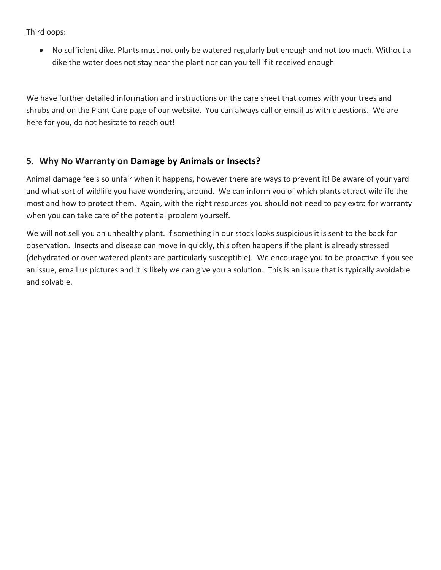## Third oops:

• No sufficient dike. Plants must not only be watered regularly but enough and not too much. Without a dike the water does not stay near the plant nor can you tell if it received enough

We have further detailed information and instructions on the care sheet that comes with your trees and shrubs and on the Plant Care page of our website. You can always call or email us with questions. We are here for you, do not hesitate to reach out!

# **5. Why No Warranty on Damage by Animals or Insects?**

Animal damage feels so unfair when it happens, however there are ways to prevent it! Be aware of your yard and what sort of wildlife you have wondering around. We can inform you of which plants attract wildlife the most and how to protect them. Again, with the right resources you should not need to pay extra for warranty when you can take care of the potential problem yourself.

We will not sell you an unhealthy plant. If something in our stock looks suspicious it is sent to the back for observation. Insects and disease can move in quickly, this often happens if the plant is already stressed (dehydrated or over watered plants are particularly susceptible). We encourage you to be proactive if you see an issue, email us pictures and it is likely we can give you a solution. This is an issue that is typically avoidable and solvable.